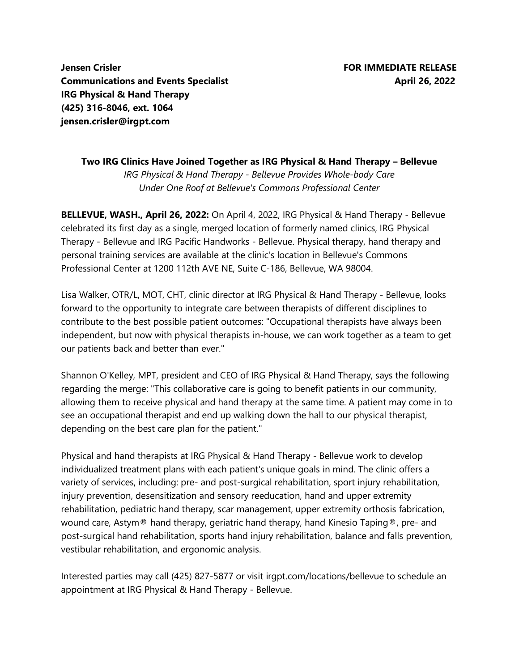**Jensen Crisler FOR IMMEDIATE RELEASE Communications and Events Specialist Communications and Events Specialist** April 26, 2022 **IRG Physical & Hand Therapy (425) 316-8046, ext. 1064 jensen.crisler@irgpt.com**

**Two IRG Clinics Have Joined Together as IRG Physical & Hand Therapy – Bellevue**

*IRG Physical & Hand Therapy - Bellevue Provides Whole-body Care Under One Roof at Bellevue's Commons Professional Center*

**BELLEVUE, WASH., April 26, 2022:** On April 4, 2022, IRG Physical & Hand Therapy - Bellevue celebrated its first day as a single, merged location of formerly named clinics, IRG Physical Therapy - Bellevue and IRG Pacific Handworks - Bellevue. Physical therapy, hand therapy and personal training services are available at the clinic's location in Bellevue's Commons Professional Center at 1200 112th AVE NE, Suite C-186, Bellevue, WA 98004.

Lisa Walker, OTR/L, MOT, CHT, clinic director at IRG Physical & Hand Therapy - Bellevue, looks forward to the opportunity to integrate care between therapists of different disciplines to contribute to the best possible patient outcomes: "Occupational therapists have always been independent, but now with physical therapists in-house, we can work together as a team to get our patients back and better than ever."

Shannon O'Kelley, MPT, president and CEO of IRG Physical & Hand Therapy, says the following regarding the merge: "This collaborative care is going to benefit patients in our community, allowing them to receive physical and hand therapy at the same time. A patient may come in to see an occupational therapist and end up walking down the hall to our physical therapist, depending on the best care plan for the patient."

Physical and hand therapists at IRG Physical & Hand Therapy - Bellevue work to develop individualized treatment plans with each patient's unique goals in mind. The clinic offers a variety of services, including: pre- and post-surgical rehabilitation, sport injury rehabilitation, injury prevention, desensitization and sensory reeducation, hand and upper extremity rehabilitation, pediatric hand therapy, scar management, upper extremity orthosis fabrication, wound care, Astym® hand therapy, geriatric hand therapy, hand Kinesio Taping®, pre- and post-surgical hand rehabilitation, sports hand injury rehabilitation, balance and falls prevention, vestibular rehabilitation, and ergonomic analysis.

Interested parties may call (425) 827-5877 or visit irgpt.com/locations/bellevue to schedule an appointment at IRG Physical & Hand Therapy - Bellevue.